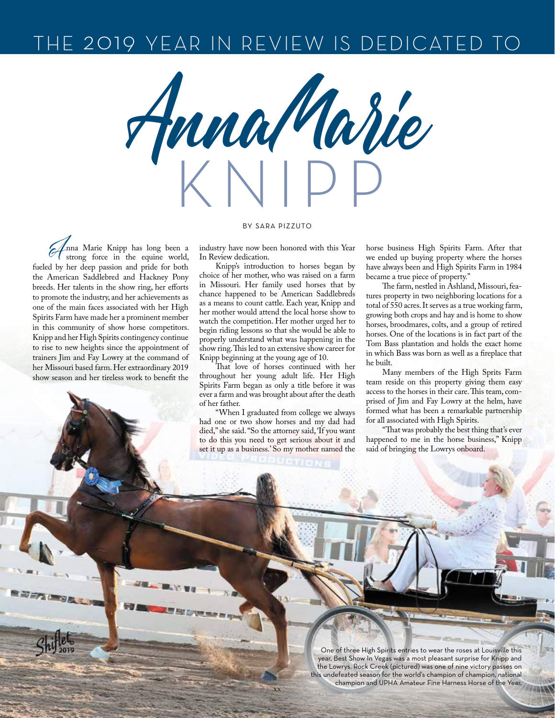## THE 2019 YEAR IN REVIEW IS DEDICATED TO

KNIPP Anna Marie

## BY SARA PIZZUTO

Anna Marie Knipp has long been a strong force in the equine world, fueled by her deep passion and pride for both the American Saddlebred and Hackney Pony breeds. Her talents in the show ring, her efforts to promote the industry, and her achievements as one of the main faces associated with her High Spirits Farm have made her a prominent member in this community of show horse competitors. Knipp and her High Spirits contingency continue to rise to new heights since the appointment of trainers Jim and Fay Lowry at the command of her Missouri based farm. Her extraordinary 2019 show season and her tireless work to benefit the

THE CONSTRUCTION

industry have now been honored with this Year In Review dedication.

Knipp's introduction to horses began by choice of her mother, who was raised on a farm in Missouri. Her family used horses that by chance happened to be American Saddlebreds as a means to count cattle. Each year, Knipp and her mother would attend the local horse show to watch the competition. Her mother urged her to begin riding lessons so that she would be able to properly understand what was happening in the show ring. This led to an extensive show career for Knipp beginning at the young age of 10.

That love of horses continued with her throughout her young adult life. Her High Spirits Farm began as only a title before it was ever a farm and was brought about after the death of her father.

"When I graduated from college we always had one or two show horses and my dad had died," she said. "So the attorney said, 'If you want to do this you need to get serious about it and set it up as a business.' So my mother named the

xx

horse business High Spirits Farm. After that we ended up buying property where the horses have always been and High Spirits Farm in 1984 became a true piece of property."

The farm, nestled in Ashland, Missouri, features property in two neighboring locations for a total of 550 acres. It serves as a true working farm, growing both crops and hay and is home to show horses, broodmares, colts, and a group of retired horses. One of the locations is in fact part of the Tom Bass plantation and holds the exact home in which Bass was born as well as a fireplace that he built.

Many members of the High Sprits Farm team reside on this property giving them easy access to the horses in their care. This team, comprised of Jim and Fay Lowry at the helm, have formed what has been a remarkable partnership for all associated with High Spirits.

"That was probably the best thing that's ever happened to me in the horse business," Knipp said of bringing the Lowrys onboard.

One of three High Spirits entries to wear the roses at Louisville this year, Best Show In Vegas was a most pleasant surprise for Knipp and the Lowrys. Rock Creek (pictured) was one of nine victory passes on this undefeated season for the world's champion of champion, national champion and UPHA Amateur Fine Harness Horse of the Year.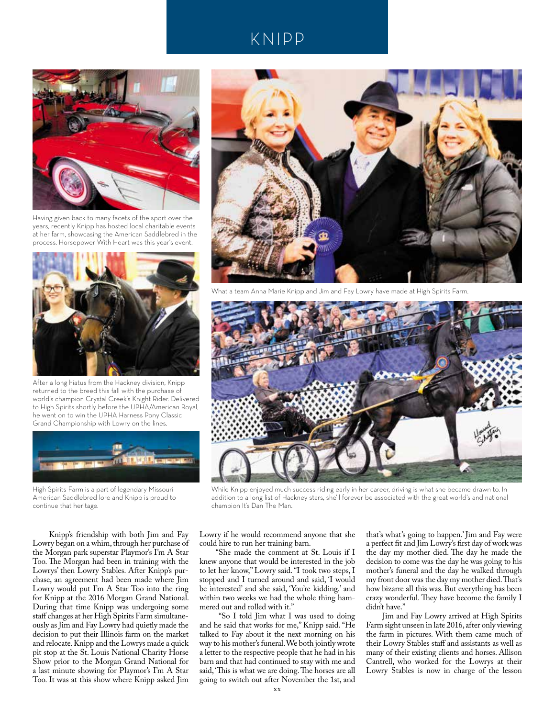## KNIPP



Having given back to many facets of the sport over the years, recently Knipp has hosted local charitable events at her farm, showcasing the American Saddlebred in the process. Horsepower With Heart was this year's event.



After a long hiatus from the Hackney division, Knipp returned to the breed this fall with the purchase of world's champion Crystal Creek's Knight Rider. Delivered to High Spirits shortly before the UPHA/American Royal, he went on to win the UPHA Harness Pony Classic Grand Championship with Lowry on the lines.



High Spirits Farm is a part of legendary Missouri American Saddlebred lore and Knipp is proud to continue that heritage.

Knipp's friendship with both Jim and Fay Lowry began on a whim, through her purchase of the Morgan park superstar Playmor's I'm A Star Too. The Morgan had been in training with the Lowrys' then Lowry Stables. After Knipp's purchase, an agreement had been made where Jim Lowry would put I'm A Star Too into the ring for Knipp at the 2016 Morgan Grand National. During that time Knipp was undergoing some staff changes at her High Spirits Farm simultaneously as Jim and Fay Lowry had quietly made the decision to put their Illinois farm on the market and relocate. Knipp and the Lowrys made a quick pit stop at the St. Louis National Charity Horse Show prior to the Morgan Grand National for a last minute showing for Playmor's I'm A Star Too. It was at this show where Knipp asked Jim



What a team Anna Marie Knipp and Jim and Fay Lowry have made at High Spirits Farm.



While Knipp enjoyed much success riding early in her career, driving is what she became drawn to. In addition to a long list of Hackney stars, she'll forever be associated with the great world's and national champion It's Dan The Man.

Lowry if he would recommend anyone that she could hire to run her training barn.

"She made the comment at St. Louis if I knew anyone that would be interested in the job to let her know," Lowry said. "I took two steps, I stopped and I turned around and said, 'I would be interested' and she said, 'You're kidding.' and within two weeks we had the whole thing hammered out and rolled with it."

 "So I told Jim what I was used to doing and he said that works for me," Knipp said. "He talked to Fay about it the next morning on his way to his mother's funeral. We both jointly wrote a letter to the respective people that he had in his barn and that had continued to stay with me and said, 'This is what we are doing. The horses are all going to switch out after November the 1st, and

that's what's going to happen.' Jim and Fay were a perfect fit and Jim Lowry's first day of work was the day my mother died. The day he made the decision to come was the day he was going to his mother's funeral and the day he walked through my front door was the day my mother died. That's how bizarre all this was. But everything has been crazy wonderful. They have become the family I didn't have."

Jim and Fay Lowry arrived at High Spirits Farm sight unseen in late 2016, after only viewing the farm in pictures. With them came much of their Lowry Stables staff and assistants as well as many of their existing clients and horses. Allison Cantrell, who worked for the Lowrys at their Lowry Stables is now in charge of the lesson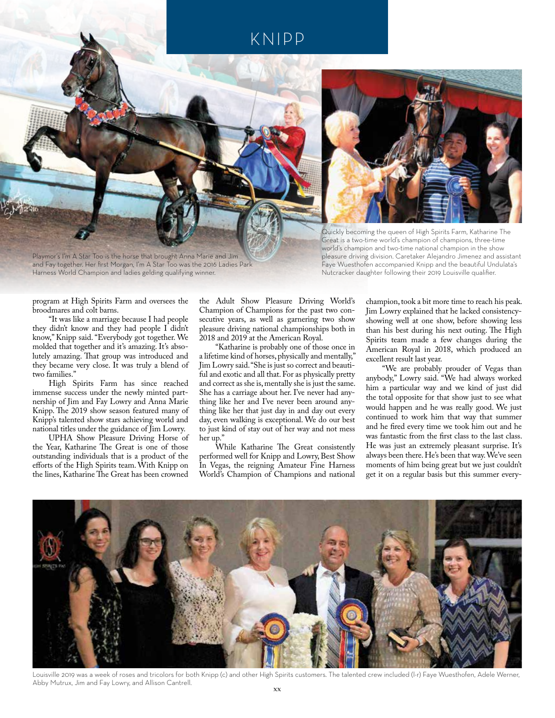## KNIPP



Playmor's I'm A Star Too is the horse that brought Anna Marie and Jim and Fay together. Her first Morgan, I'm A Star Too was the 2016 Ladies Park Harness World Champion and ladies gelding qualifying winner.



Quickly becoming the queen of High Spirits Farm, Katharine The Great is a two-time world's champion of champions, three-time world's champion and two-time national champion in the show pleasure driving division. Caretaker Alejandro Jimenez and assistant Faye Wuesthofen accompanied Knipp and the beautiful Undulata's Nutcracker daughter following their 2019 Louisville qualifier.

program at High Spirits Farm and oversees the broodmares and colt barns.

"It was like a marriage because I had people they didn't know and they had people I didn't know," Knipp said. "Everybody got together. We molded that together and it's amazing. It's absolutely amazing. That group was introduced and they became very close. It was truly a blend of two families."

High Spirits Farm has since reached immense success under the newly minted partnership of Jim and Fay Lowry and Anna Marie Knipp. The 2019 show season featured many of Knipp's talented show stars achieving world and national titles under the guidance of Jim Lowry.

UPHA Show Pleasure Driving Horse of the Year, Katharine The Great is one of those outstanding individuals that is a product of the efforts of the High Spirits team. With Knipp on the lines, Katharine The Great has been crowned

the Adult Show Pleasure Driving World's Champion of Champions for the past two consecutive years, as well as garnering two show pleasure driving national championships both in 2018 and 2019 at the American Royal.

"Katharine is probably one of those once in a lifetime kind of horses, physically and mentally," Jim Lowry said. "She is just so correct and beautiful and exotic and all that. For as physically pretty and correct as she is, mentally she is just the same. She has a carriage about her. I've never had anything like her and I've never been around anything like her that just day in and day out every day, even walking is exceptional. We do our best to just kind of stay out of her way and not mess her up."

While Katharine The Great consistently performed well for Knipp and Lowry, Best Show In Vegas, the reigning Amateur Fine Harness World's Champion of Champions and national

champion, took a bit more time to reach his peak. Jim Lowry explained that he lacked consistencyshowing well at one show, before showing less than his best during his next outing. The High Spirits team made a few changes during the American Royal in 2018, which produced an excellent result last year.

"We are probably prouder of Vegas than anybody," Lowry said. "We had always worked him a particular way and we kind of just did the total opposite for that show just to see what would happen and he was really good. We just continued to work him that way that summer and he fired every time we took him out and he was fantastic from the first class to the last class. He was just an extremely pleasant surprise. It's always been there. He's been that way. We've seen moments of him being great but we just couldn't get it on a regular basis but this summer every-



Louisville 2019 was a week of roses and tricolors for both Knipp (c) and other High Spirits customers. The talented crew included (l-r) Faye Wuesthofen, Adele Werner, Abby Mutrux, Jim and Fay Lowry, and Allison Cantrell.